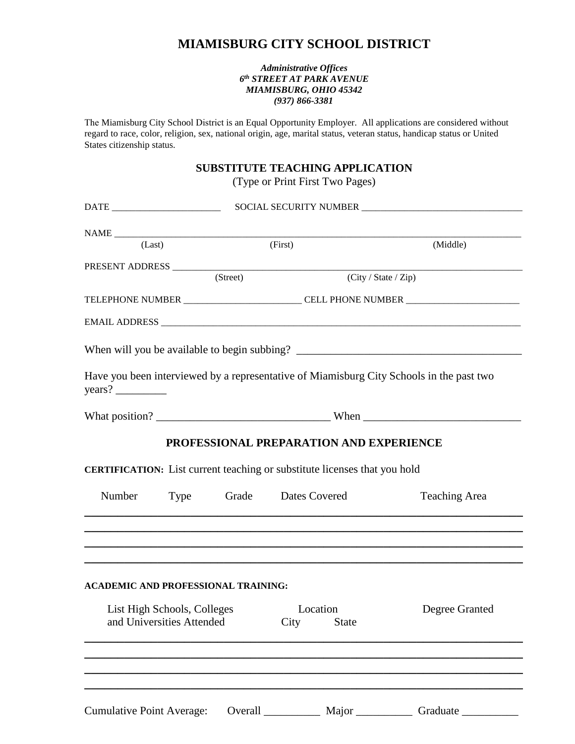## **MIAMISBURG CITY SCHOOL DISTRICT**

## *Administrative Offices 6 th STREET AT PARK AVENUE MIAMISBURG, OHIO 45342 (937) 866-3381*

The Miamisburg City School District is an Equal Opportunity Employer. All applications are considered without regard to race, color, religion, sex, national origin, age, marital status, veteran status, handicap status or United States citizenship status.

## **SUBSTITUTE TEACHING APPLICATION**

(Type or Print First Two Pages)

| (Last)                    |                                            | (First)                                                                                                                     | (Middle)                                                                                 |
|---------------------------|--------------------------------------------|-----------------------------------------------------------------------------------------------------------------------------|------------------------------------------------------------------------------------------|
|                           |                                            |                                                                                                                             |                                                                                          |
|                           | (Street)                                   |                                                                                                                             | (City / State / Zip)                                                                     |
|                           |                                            |                                                                                                                             | TELEPHONE NUMBER _______________________CELL PHONE NUMBER ______________________         |
|                           |                                            |                                                                                                                             |                                                                                          |
|                           |                                            |                                                                                                                             |                                                                                          |
|                           |                                            |                                                                                                                             | Have you been interviewed by a representative of Miamisburg City Schools in the past two |
|                           |                                            |                                                                                                                             |                                                                                          |
|                           |                                            | PROFESSIONAL PREPARATION AND EXPERIENCE<br><b>CERTIFICATION:</b> List current teaching or substitute licenses that you hold |                                                                                          |
| Number                    | Type                                       | Grade Dates Covered                                                                                                         | <b>Teaching Area</b>                                                                     |
|                           | <b>ACADEMIC AND PROFESSIONAL TRAINING:</b> |                                                                                                                             |                                                                                          |
| and Universities Attended | List High Schools, Colleges                | Location<br>City<br><b>State</b>                                                                                            | Degree Granted                                                                           |
|                           |                                            |                                                                                                                             |                                                                                          |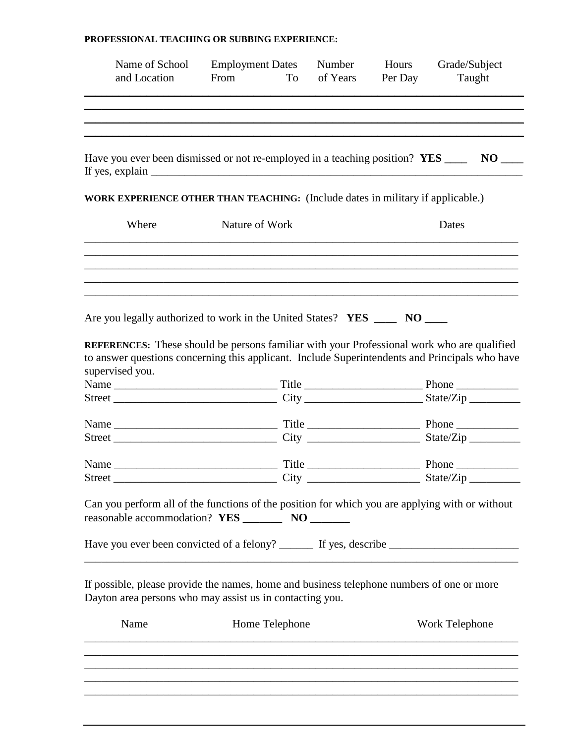## **PROFESSIONAL TEACHING OR SUBBING EXPERIENCE:**

| Have you ever been dismissed or not re-employed in a teaching position? YES ____<br>If yes, explain $\frac{1}{\sqrt{1-\frac{1}{\sqrt{1-\frac{1}{\sqrt{1-\frac{1}{\sqrt{1-\frac{1}{\sqrt{1-\frac{1}{\sqrt{1-\frac{1}{\sqrt{1-\frac{1}{\sqrt{1-\frac{1}{\sqrt{1-\frac{1}{\sqrt{1-\frac{1}{\sqrt{1-\frac{1}{\sqrt{1-\frac{1}{\sqrt{1-\frac{1}{\sqrt{1-\frac{1}{\sqrt{1-\frac{1}{\sqrt{1-\frac{1}{\sqrt{1-\frac{1}{\sqrt{1-\frac{1}{\sqrt{1-\frac{1}{\sqrt{1-\frac{1}{\sqrt{1-\frac{1}{\sqrt{1-\frac{1}{\$<br>WORK EXPERIENCE OTHER THAN TEACHING: (Include dates in military if applicable.)<br>Where<br>Nature of Work<br>Dates<br>Are you legally authorized to work in the United States? YES _____ NO ____<br>supervised you. | <b>REFERENCES:</b> These should be persons familiar with your Professional work who are qualified<br>to answer questions concerning this applicant. Include Superintendents and Principals who have<br>Can you perform all of the functions of the position for which you are applying with or without<br>If possible, please provide the names, home and business telephone numbers of one or more<br>Name<br>Home Telephone<br>Work Telephone | Name of School<br>and Location | <b>Employment Dates</b><br>From<br>To | Number<br>of Years | Hours<br>Per Day | Grade/Subject<br>Taught |
|--------------------------------------------------------------------------------------------------------------------------------------------------------------------------------------------------------------------------------------------------------------------------------------------------------------------------------------------------------------------------------------------------------------------------------------------------------------------------------------------------------------------------------------------------------------------------------------------------------------------------------------------------------------------------------------------------------------------------------|-------------------------------------------------------------------------------------------------------------------------------------------------------------------------------------------------------------------------------------------------------------------------------------------------------------------------------------------------------------------------------------------------------------------------------------------------|--------------------------------|---------------------------------------|--------------------|------------------|-------------------------|
|                                                                                                                                                                                                                                                                                                                                                                                                                                                                                                                                                                                                                                                                                                                                |                                                                                                                                                                                                                                                                                                                                                                                                                                                 |                                |                                       |                    |                  |                         |
|                                                                                                                                                                                                                                                                                                                                                                                                                                                                                                                                                                                                                                                                                                                                |                                                                                                                                                                                                                                                                                                                                                                                                                                                 |                                |                                       |                    |                  | $NO$ <sub>——</sub>      |
|                                                                                                                                                                                                                                                                                                                                                                                                                                                                                                                                                                                                                                                                                                                                |                                                                                                                                                                                                                                                                                                                                                                                                                                                 |                                |                                       |                    |                  |                         |
|                                                                                                                                                                                                                                                                                                                                                                                                                                                                                                                                                                                                                                                                                                                                |                                                                                                                                                                                                                                                                                                                                                                                                                                                 |                                |                                       |                    |                  |                         |
|                                                                                                                                                                                                                                                                                                                                                                                                                                                                                                                                                                                                                                                                                                                                |                                                                                                                                                                                                                                                                                                                                                                                                                                                 |                                |                                       |                    |                  |                         |
|                                                                                                                                                                                                                                                                                                                                                                                                                                                                                                                                                                                                                                                                                                                                |                                                                                                                                                                                                                                                                                                                                                                                                                                                 |                                |                                       |                    |                  |                         |
|                                                                                                                                                                                                                                                                                                                                                                                                                                                                                                                                                                                                                                                                                                                                |                                                                                                                                                                                                                                                                                                                                                                                                                                                 |                                |                                       |                    |                  |                         |
|                                                                                                                                                                                                                                                                                                                                                                                                                                                                                                                                                                                                                                                                                                                                |                                                                                                                                                                                                                                                                                                                                                                                                                                                 |                                |                                       |                    |                  |                         |
|                                                                                                                                                                                                                                                                                                                                                                                                                                                                                                                                                                                                                                                                                                                                |                                                                                                                                                                                                                                                                                                                                                                                                                                                 |                                |                                       |                    |                  |                         |
|                                                                                                                                                                                                                                                                                                                                                                                                                                                                                                                                                                                                                                                                                                                                |                                                                                                                                                                                                                                                                                                                                                                                                                                                 |                                |                                       |                    |                  |                         |
|                                                                                                                                                                                                                                                                                                                                                                                                                                                                                                                                                                                                                                                                                                                                |                                                                                                                                                                                                                                                                                                                                                                                                                                                 |                                |                                       |                    |                  |                         |
|                                                                                                                                                                                                                                                                                                                                                                                                                                                                                                                                                                                                                                                                                                                                |                                                                                                                                                                                                                                                                                                                                                                                                                                                 |                                |                                       |                    |                  |                         |
|                                                                                                                                                                                                                                                                                                                                                                                                                                                                                                                                                                                                                                                                                                                                |                                                                                                                                                                                                                                                                                                                                                                                                                                                 |                                |                                       |                    |                  |                         |
|                                                                                                                                                                                                                                                                                                                                                                                                                                                                                                                                                                                                                                                                                                                                |                                                                                                                                                                                                                                                                                                                                                                                                                                                 |                                |                                       |                    |                  |                         |
| Dayton area persons who may assist us in contacting you.                                                                                                                                                                                                                                                                                                                                                                                                                                                                                                                                                                                                                                                                       |                                                                                                                                                                                                                                                                                                                                                                                                                                                 |                                |                                       |                    |                  |                         |
|                                                                                                                                                                                                                                                                                                                                                                                                                                                                                                                                                                                                                                                                                                                                |                                                                                                                                                                                                                                                                                                                                                                                                                                                 |                                |                                       |                    |                  |                         |
|                                                                                                                                                                                                                                                                                                                                                                                                                                                                                                                                                                                                                                                                                                                                |                                                                                                                                                                                                                                                                                                                                                                                                                                                 |                                |                                       |                    |                  |                         |
|                                                                                                                                                                                                                                                                                                                                                                                                                                                                                                                                                                                                                                                                                                                                |                                                                                                                                                                                                                                                                                                                                                                                                                                                 |                                |                                       |                    |                  |                         |

\_\_\_\_\_\_\_\_\_\_\_\_\_\_\_\_\_\_\_\_\_\_\_\_\_\_\_\_\_\_\_\_\_\_\_\_\_\_\_\_\_\_\_\_\_\_\_\_\_\_\_\_\_\_\_\_\_\_\_\_\_\_\_\_\_\_\_\_\_\_\_\_\_\_\_\_\_